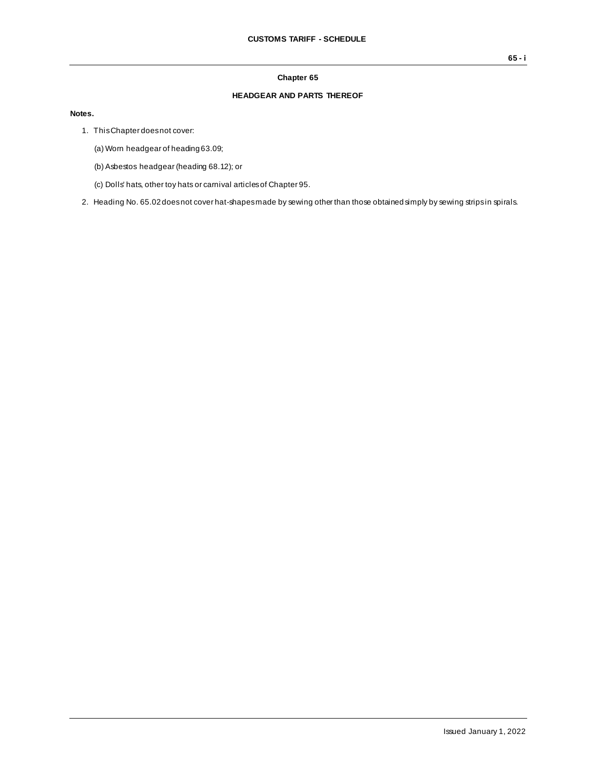## **Chapter 65**

## **HEADGEAR AND PARTS THEREOF**

## **Notes.**

1. This Chapter does not cover:

(a) Worn headgear of heading 63.09;

- (b) Asbestos headgear (heading 68.12); or
- (c) Dolls' hats, other toy hats or carnival articles of Chapter 95.
- 2. Heading No. 65.02 does not cover hat-shapes made by sewing other than those obtained simply by sewing strips in spirals.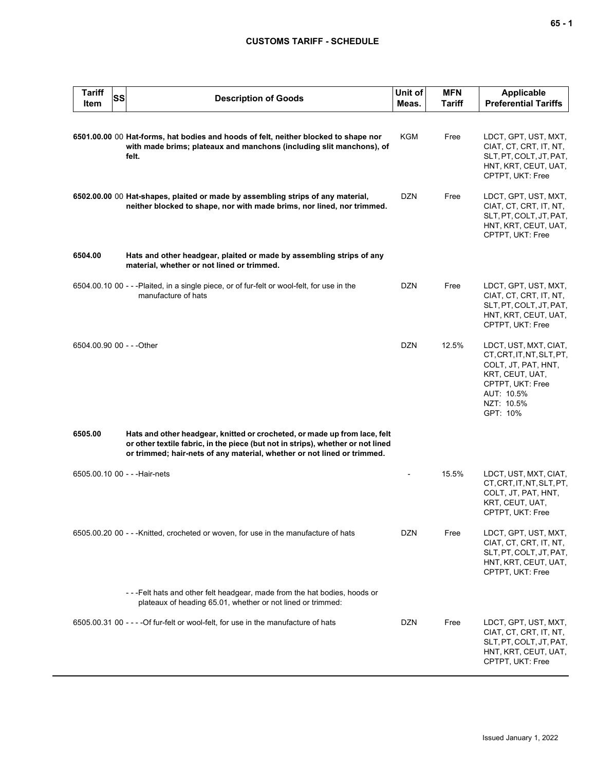## **CUSTOMS TARIFF - SCHEDULE**

| <b>Tariff</b><br>Item | SS | <b>Description of Goods</b>                                                                                                                                                                                                             | Unit of<br>Meas. | <b>MFN</b><br>Tariff | <b>Applicable</b><br><b>Preferential Tariffs</b>                                                                                                         |
|-----------------------|----|-----------------------------------------------------------------------------------------------------------------------------------------------------------------------------------------------------------------------------------------|------------------|----------------------|----------------------------------------------------------------------------------------------------------------------------------------------------------|
|                       |    | 6501.00.00 00 Hat-forms, hat bodies and hoods of felt, neither blocked to shape nor<br>with made brims; plateaux and manchons (including slit manchons), of<br>felt.                                                                    | KGM              | Free                 | LDCT, GPT, UST, MXT,<br>CIAT, CT, CRT, IT, NT,<br>SLT, PT, COLT, JT, PAT,<br>HNT, KRT, CEUT, UAT,<br>CPTPT, UKT: Free                                    |
|                       |    | 6502.00.00 00 Hat-shapes, plaited or made by assembling strips of any material,<br>neither blocked to shape, nor with made brims, nor lined, nor trimmed.                                                                               | <b>DZN</b>       | Free                 | LDCT, GPT, UST, MXT,<br>CIAT, CT, CRT, IT, NT,<br>SLT, PT, COLT, JT, PAT,<br>HNT, KRT, CEUT, UAT,<br>CPTPT, UKT: Free                                    |
| 6504.00               |    | Hats and other headgear, plaited or made by assembling strips of any<br>material, whether or not lined or trimmed.                                                                                                                      |                  |                      |                                                                                                                                                          |
|                       |    | 6504.00.10 00 - - -Plaited, in a single piece, or of fur-felt or wool-felt, for use in the<br>manufacture of hats                                                                                                                       | <b>DZN</b>       | Free                 | LDCT, GPT, UST, MXT,<br>CIAT, CT, CRT, IT, NT,<br>SLT, PT, COLT, JT, PAT,<br>HNT, KRT, CEUT, UAT,<br>CPTPT, UKT: Free                                    |
|                       |    | 6504.00.90 00 - - - Other                                                                                                                                                                                                               | <b>DZN</b>       | 12.5%                | LDCT, UST, MXT, CIAT,<br>CT, CRT, IT, NT, SLT, PT,<br>COLT, JT, PAT, HNT,<br>KRT, CEUT, UAT,<br>CPTPT, UKT: Free<br>AUT: 10.5%<br>NZT: 10.5%<br>GPT: 10% |
| 6505.00               |    | Hats and other headgear, knitted or crocheted, or made up from lace, felt<br>or other textile fabric, in the piece (but not in strips), whether or not lined<br>or trimmed; hair-nets of any material, whether or not lined or trimmed. |                  |                      |                                                                                                                                                          |
|                       |    | 6505.00.10 00 - - - Hair-nets                                                                                                                                                                                                           |                  | 15.5%                | LDCT, UST, MXT, CIAT,<br>CT.CRT.IT.NT.SLT.PT.<br>COLT, JT, PAT, HNT,<br>KRT, CEUT, UAT,<br>CPTPT, UKT: Free                                              |
|                       |    | 6505.00.20 00 - - -Knitted, crocheted or woven, for use in the manufacture of hats                                                                                                                                                      | <b>DZN</b>       | Free                 | LDCT, GPT, UST, MXT,<br>CIAT, CT, CRT, IT, NT,<br>SLT, PT, COLT, JT, PAT,<br>HNT, KRT, CEUT, UAT,<br>CPTPT, UKT: Free                                    |
|                       |    | ---Felt hats and other felt headgear, made from the hat bodies, hoods or<br>plateaux of heading 65.01, whether or not lined or trimmed:                                                                                                 |                  |                      |                                                                                                                                                          |
|                       |    | 6505.00.31 00 - - - - Of fur-felt or wool-felt, for use in the manufacture of hats                                                                                                                                                      | <b>DZN</b>       | Free                 | LDCT, GPT, UST, MXT,<br>CIAT, CT, CRT, IT, NT,<br>SLT, PT, COLT, JT, PAT,<br>HNT, KRT, CEUT, UAT,<br>CPTPT, UKT: Free                                    |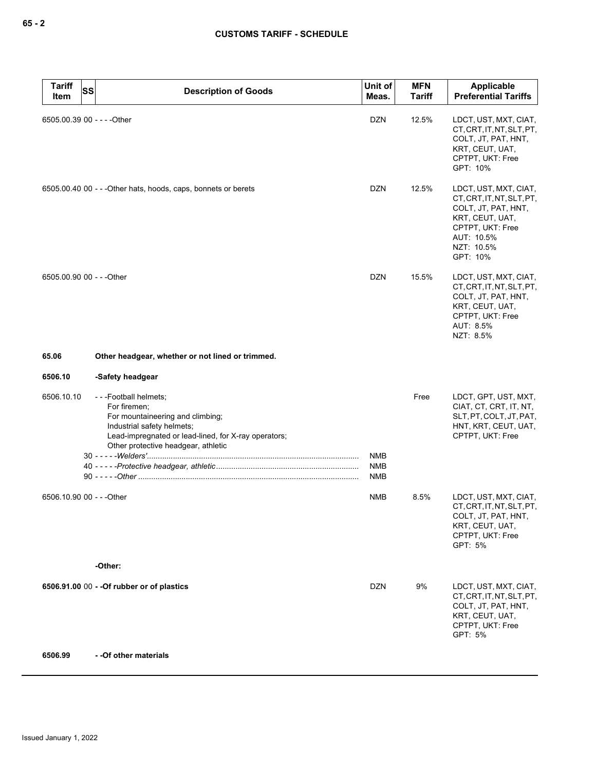| <b>Tariff</b><br>Item       | <b>SS</b><br><b>Description of Goods</b>                                                                                                                                                              | Unit of<br>Meas.                       | <b>MFN</b><br><b>Tariff</b> | Applicable<br><b>Preferential Tariffs</b>                                                                                                                |
|-----------------------------|-------------------------------------------------------------------------------------------------------------------------------------------------------------------------------------------------------|----------------------------------------|-----------------------------|----------------------------------------------------------------------------------------------------------------------------------------------------------|
| 6505.00.39 00 - - - - Other |                                                                                                                                                                                                       | <b>DZN</b>                             | 12.5%                       | LDCT, UST, MXT, CIAT,<br>CT, CRT, IT, NT, SLT, PT,<br>COLT, JT, PAT, HNT,<br>KRT, CEUT, UAT,<br>CPTPT, UKT: Free<br>GPT: 10%                             |
|                             | 6505.00.40 00 - - - Other hats, hoods, caps, bonnets or berets                                                                                                                                        | <b>DZN</b>                             | 12.5%                       | LDCT, UST, MXT, CIAT,<br>CT, CRT, IT, NT, SLT, PT,<br>COLT, JT, PAT, HNT,<br>KRT, CEUT, UAT,<br>CPTPT, UKT: Free<br>AUT: 10.5%<br>NZT: 10.5%<br>GPT: 10% |
| 6505.00.90 00 - - - Other   |                                                                                                                                                                                                       | <b>DZN</b>                             | 15.5%                       | LDCT, UST, MXT, CIAT,<br>CT, CRT, IT, NT, SLT, PT,<br>COLT, JT, PAT, HNT,<br>KRT, CEUT, UAT,<br>CPTPT, UKT: Free<br>AUT: 8.5%<br>NZT: 8.5%               |
| 65.06                       | Other headgear, whether or not lined or trimmed.                                                                                                                                                      |                                        |                             |                                                                                                                                                          |
| 6506.10                     | -Safety headgear                                                                                                                                                                                      |                                        |                             |                                                                                                                                                          |
| 6506.10.10                  | ---Football helmets;<br>For firemen;<br>For mountaineering and climbing;<br>Industrial safety helmets;<br>Lead-impregnated or lead-lined, for X-ray operators;<br>Other protective headgear, athletic |                                        | Free                        | LDCT, GPT, UST, MXT,<br>CIAT, CT, CRT, IT, NT,<br>SLT, PT, COLT, JT, PAT,<br>HNT, KRT, CEUT, UAT,<br>CPTPT, UKT: Free                                    |
|                             |                                                                                                                                                                                                       | <b>NMB</b><br><b>NMB</b><br><b>NMB</b> |                             |                                                                                                                                                          |
| 6506.10.90 00 - - - Other   |                                                                                                                                                                                                       | <b>NMB</b>                             | 8.5%                        | LDCT, UST, MXT, CIAT,<br>CT, CRT, IT, NT, SLT, PT,<br>COLT, JT, PAT, HNT,<br>KRT, CEUT, UAT,<br>CPTPT, UKT: Free<br>GPT: 5%                              |
|                             | -Other:                                                                                                                                                                                               |                                        |                             |                                                                                                                                                          |
|                             | 6506.91.00 00 - - Of rubber or of plastics                                                                                                                                                            | <b>DZN</b>                             | 9%                          | LDCT, UST, MXT, CIAT,<br>CT, CRT, IT, NT, SLT, PT,<br>COLT, JT, PAT, HNT,<br>KRT, CEUT, UAT,<br>CPTPT, UKT: Free<br>GPT: 5%                              |
| 6506.99                     | - - Of other materials                                                                                                                                                                                |                                        |                             |                                                                                                                                                          |